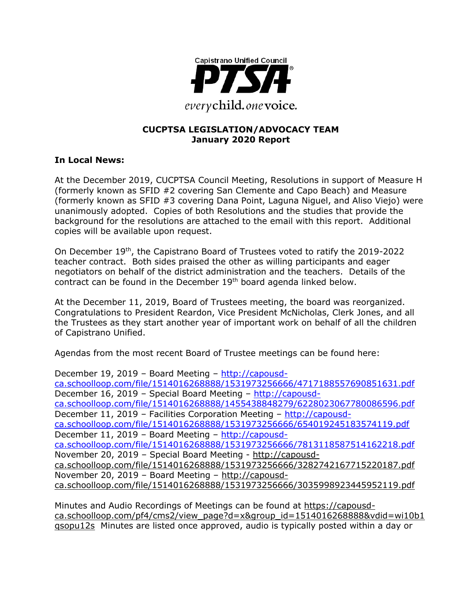

#### **CUCPTSA LEGISLATION/ADVOCACY TEAM January 2020 Report**

#### **In Local News:**

At the December 2019, CUCPTSA Council Meeting, Resolutions in support of Measure H (formerly known as SFID #2 covering San Clemente and Capo Beach) and Measure (formerly known as SFID #3 covering Dana Point, Laguna Niguel, and Aliso Viejo) were unanimously adopted. Copies of both Resolutions and the studies that provide the background for the resolutions are attached to the email with this report. Additional copies will be available upon request.

On December 19th, the Capistrano Board of Trustees voted to ratify the 2019-2022 teacher contract. Both sides praised the other as willing participants and eager negotiators on behalf of the district administration and the teachers. Details of the contract can be found in the December 19<sup>th</sup> board agenda linked below.

At the December 11, 2019, Board of Trustees meeting, the board was reorganized. Congratulations to President Reardon, Vice President McNicholas, Clerk Jones, and all the Trustees as they start another year of important work on behalf of all the children of Capistrano Unified.

Agendas from the most recent Board of Trustee meetings can be found here:

December 19, 2019 – Board Meeting – [http://capousd](http://capousd-ca.schoolloop.com/file/1514016268888/1531973256666/4717188557690851631.pdf)[ca.schoolloop.com/file/1514016268888/1531973256666/4717188557690851631.pdf](http://capousd-ca.schoolloop.com/file/1514016268888/1531973256666/4717188557690851631.pdf) December 16, 2019 – Special Board Meeting – [http://capousd](http://capousd-ca.schoolloop.com/file/1514016268888/1455438848279/6228023067780086596.pdf)[ca.schoolloop.com/file/1514016268888/1455438848279/6228023067780086596.pdf](http://capousd-ca.schoolloop.com/file/1514016268888/1455438848279/6228023067780086596.pdf) December 11, 2019 – Facilities Corporation Meeting – [http://capousd](http://capousd-ca.schoolloop.com/file/1514016268888/1531973256666/654019245183574119.pdf)[ca.schoolloop.com/file/1514016268888/1531973256666/654019245183574119.pdf](http://capousd-ca.schoolloop.com/file/1514016268888/1531973256666/654019245183574119.pdf) December 11, 2019 – Board Meeting – [http://capousd](http://capousd-ca.schoolloop.com/file/1514016268888/1531973256666/7813118587514162218.pdf)[ca.schoolloop.com/file/1514016268888/1531973256666/7813118587514162218.pdf](http://capousd-ca.schoolloop.com/file/1514016268888/1531973256666/7813118587514162218.pdf) November 20, 2019 – Special Board Meeting - [http://capousd](http://capousd-ca.schoolloop.com/file/1514016268888/1531973256666/3282742167715220187.pdf)[ca.schoolloop.com/file/1514016268888/1531973256666/3282742167715220187.pdf](http://capousd-ca.schoolloop.com/file/1514016268888/1531973256666/3282742167715220187.pdf) November 20, 2019 – Board Meeting – [http://capousd](http://capousd-ca.schoolloop.com/file/1514016268888/1531973256666/3035998923445952119.pdf)[ca.schoolloop.com/file/1514016268888/1531973256666/3035998923445952119.pdf](http://capousd-ca.schoolloop.com/file/1514016268888/1531973256666/3035998923445952119.pdf)

Minutes and Audio Recordings of Meetings can be found at [https://capousd](https://capousd-ca.schoolloop.com/pf4/cms2/view_page?d=x&group_id=1514016268888&vdid=wi10b1qsopu12s)[ca.schoolloop.com/pf4/cms2/view\\_page?d=x&group\\_id=1514016268888&vdid=wi10b1](https://capousd-ca.schoolloop.com/pf4/cms2/view_page?d=x&group_id=1514016268888&vdid=wi10b1qsopu12s) [qsopu12s](https://capousd-ca.schoolloop.com/pf4/cms2/view_page?d=x&group_id=1514016268888&vdid=wi10b1qsopu12s) Minutes are listed once approved, audio is typically posted within a day or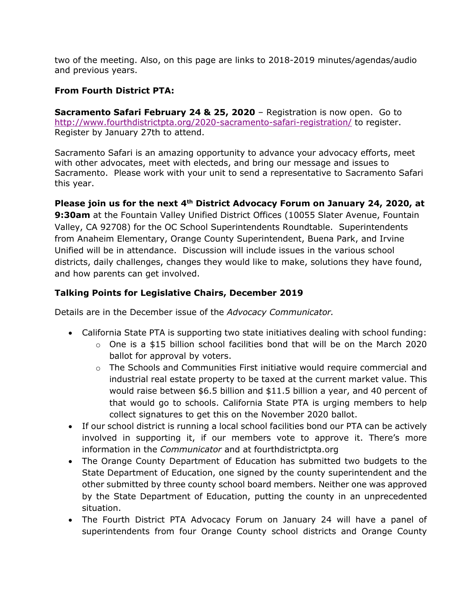two of the meeting. Also, on this page are links to 2018-2019 minutes/agendas/audio and previous years.

## **From Fourth District PTA:**

**Sacramento Safari February 24 & 25, 2020** – Registration is now open. Go to <http://www.fourthdistrictpta.org/2020-sacramento-safari-registration/> to register. Register by January 27th to attend.

Sacramento Safari is an amazing opportunity to advance your advocacy efforts, meet with other advocates, meet with electeds, and bring our message and issues to Sacramento. Please work with your unit to send a representative to Sacramento Safari this year.

**Please join us for the next 4th District Advocacy Forum on January 24, 2020, at** 

**9:30am** at the Fountain Valley Unified District Offices (10055 Slater Avenue, Fountain Valley, CA 92708) for the OC School Superintendents Roundtable. Superintendents from Anaheim Elementary, Orange County Superintendent, Buena Park, and Irvine Unified will be in attendance. Discussion will include issues in the various school districts, daily challenges, changes they would like to make, solutions they have found, and how parents can get involved.

### **Talking Points for Legislative Chairs, December 2019**

Details are in the December issue of the *Advocacy Communicator.*

- California State PTA is supporting two state initiatives dealing with school funding:
	- $\circ$  One is a \$15 billion school facilities bond that will be on the March 2020 ballot for approval by voters.
	- o The Schools and Communities First initiative would require commercial and industrial real estate property to be taxed at the current market value. This would raise between \$6.5 billion and \$11.5 billion a year, and 40 percent of that would go to schools. California State PTA is urging members to help collect signatures to get this on the November 2020 ballot.
- If our school district is running a local school facilities bond our PTA can be actively involved in supporting it, if our members vote to approve it. There's more information in the *Communicator* and at fourthdistrictpta.org
- The Orange County Department of Education has submitted two budgets to the State Department of Education, one signed by the county superintendent and the other submitted by three county school board members. Neither one was approved by the State Department of Education, putting the county in an unprecedented situation.
- The Fourth District PTA Advocacy Forum on January 24 will have a panel of superintendents from four Orange County school districts and Orange County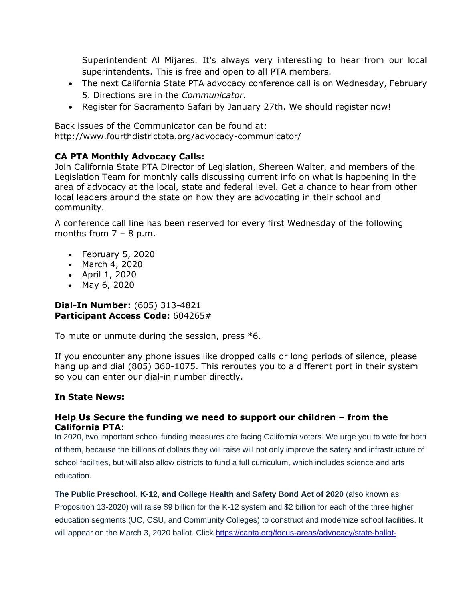Superintendent Al Mijares. It's always very interesting to hear from our local superintendents. This is free and open to all PTA members.

- The next California State PTA advocacy conference call is on Wednesday, February 5. Directions are in the *Communicator*.
- Register for Sacramento Safari by January 27th. We should register now!

Back issues of the Communicator can be found at: <http://www.fourthdistrictpta.org/advocacy-communicator/>

#### **CA PTA Monthly Advocacy Calls:**

Join California State PTA Director of Legislation, Shereen Walter, and members of the Legislation Team for monthly calls discussing current info on what is happening in the area of advocacy at the local, state and federal level. Get a chance to hear from other local leaders around the state on how they are advocating in their school and community.

A conference call line has been reserved for every first Wednesday of the following months from  $7 - 8$  p.m.

- February 5, 2020
- March 4, 2020
- April 1, 2020
- May 6, 2020

#### **Dial-In Number:** (605) 313-4821 **Participant Access Code:** 604265#

To mute or unmute during the session, press \*6.

If you encounter any phone issues like dropped calls or long periods of silence, please hang up and dial (805) 360-1075. This reroutes you to a different port in their system so you can enter our dial-in number directly.

### **In State News:**

#### **Help Us Secure the funding we need to support our children – from the California PTA:**

In 2020, two important school funding measures are facing California voters. We urge you to vote for both of them, because the billions of dollars they will raise will not only improve the safety and infrastructure of school facilities, but will also allow districts to fund a full curriculum, which includes science and arts education.

**The Public Preschool, K-12, and College Health and Safety Bond Act of 2020** (also known as Proposition 13-2020) will raise \$9 billion for the K-12 system and \$2 billion for each of the three higher education segments (UC, CSU, and Community Colleges) to construct and modernize school facilities. It will appear on the March 3, 2020 ballot. Click [https://capta.org/focus-areas/advocacy/state-ballot-](https://capta.org/focus-areas/advocacy/state-ballot-measures/prop-13-2020/)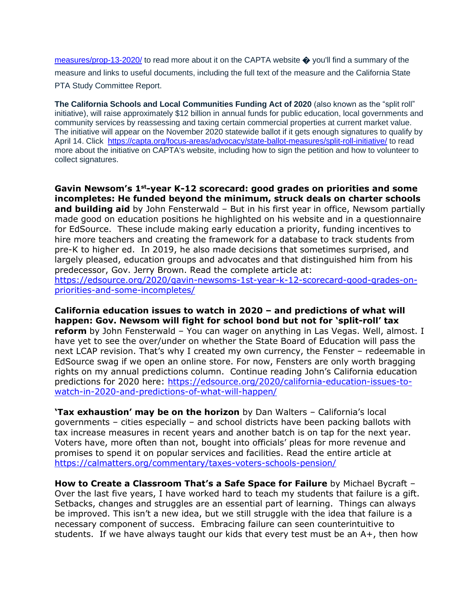[measures/prop-13-2020/](https://capta.org/focus-areas/advocacy/state-ballot-measures/prop-13-2020/) to read more about it on the CAPTA website � you'll find a summary of the measure and links to useful documents, including the full text of the measure and the California State PTA Study Committee Report.

**The California Schools and Local Communities Funding Act of 2020** (also known as the "split roll" initiative), will raise approximately \$12 billion in annual funds for public education, local governments and community services by reassessing and taxing certain commercial properties at current market value. The initiative will appear on the November 2020 statewide ballot if it gets enough signatures to qualify by April 14. Click <https://capta.org/focus-areas/advocacy/state-ballot-measures/split-roll-initiative/> to read more about the initiative on CAPTA's website, including how to sign the petition and how to volunteer to collect signatures.

**Gavin Newsom's 1st-year K-12 scorecard: good grades on priorities and some incompletes: He funded beyond the minimum, struck deals on charter schools and building aid** by John Fensterwald – But in his first year in office, Newsom partially made good on education positions he highlighted on his website and in a questionnaire for EdSource. These include making early education a priority, funding incentives to hire more teachers and creating the framework for a database to track students from pre-K to higher ed. In 2019, he also made decisions that sometimes surprised, and largely pleased, education groups and advocates and that distinguished him from his predecessor, Gov. Jerry Brown. Read the complete article at: [https://edsource.org/2020/gavin-newsoms-1st-year-k-12-scorecard-good-grades-on](https://edsource.org/2020/gavin-newsoms-1st-year-k-12-scorecard-good-grades-on-priorities-and-some-incompletes/)[priorities-and-some-incompletes/](https://edsource.org/2020/gavin-newsoms-1st-year-k-12-scorecard-good-grades-on-priorities-and-some-incompletes/)

**California education issues to watch in 2020 – and predictions of what will happen: Gov. Newsom will fight for school bond but not for 'split-roll' tax reform** by John Fensterwald - You can wager on anything in Las Vegas. Well, almost. I have yet to see the over/under on whether the State Board of Education will pass the next LCAP revision. That's why I created my own currency, the Fenster – redeemable in EdSource swag if we open an online store. For now, Fensters are only worth bragging rights on my annual predictions column. Continue reading John's California education predictions for 2020 here: [https://edsource.org/2020/california-education-issues-to](https://edsource.org/2020/california-education-issues-to-watch-in-2020-and-predictions-of-what-will-happen/)[watch-in-2020-and-predictions-of-what-will-happen/](https://edsource.org/2020/california-education-issues-to-watch-in-2020-and-predictions-of-what-will-happen/)

**'Tax exhaustion' may be on the horizon** by Dan Walters – California's local governments – cities especially – and school districts have been packing ballots with tax increase measures in recent years and another batch is on tap for the next year. Voters have, more often than not, bought into officials' pleas for more revenue and promises to spend it on popular services and facilities. Read the entire article at <https://calmatters.org/commentary/taxes-voters-schools-pension/>

**How to Create a Classroom That's a Safe Space for Failure** by Michael Bycraft – Over the last five years, I have worked hard to teach my students that failure is a gift. Setbacks, changes and struggles are an essential part of learning. Things can always be improved. This isn't a new idea, but we still struggle with the idea that failure is a necessary component of success. Embracing failure can seen counterintuitive to students. If we have always taught our kids that every test must be an A+, then how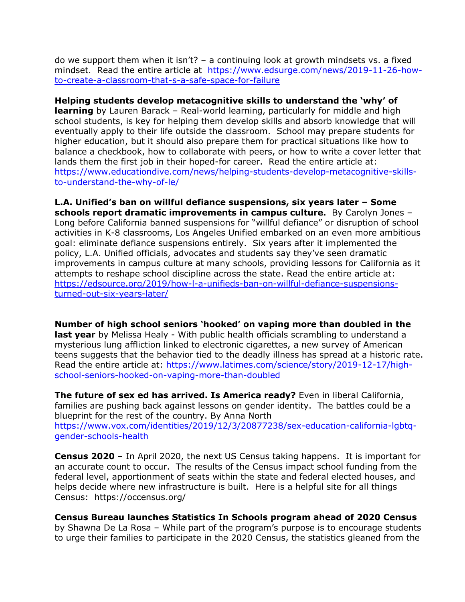do we support them when it isn't?  $-$  a continuing look at growth mindsets vs. a fixed mindset. Read the entire article at [https://www.edsurge.com/news/2019-11-26-how](https://www.edsurge.com/news/2019-11-26-how-to-create-a-classroom-that-s-a-safe-space-for-failure)[to-create-a-classroom-that-s-a-safe-space-for-failure](https://www.edsurge.com/news/2019-11-26-how-to-create-a-classroom-that-s-a-safe-space-for-failure)

**Helping students develop metacognitive skills to understand the 'why' of learning** by Lauren Barack – Real-world learning, particularly for middle and high school students, is key for helping them develop skills and absorb knowledge that will eventually apply to their life outside the classroom. School may prepare students for higher education, but it should also prepare them for practical situations like how to balance a checkbook, how to collaborate with peers, or how to write a cover letter that lands them the first job in their hoped-for career. Read the entire article at: [https://www.educationdive.com/news/helping-students-develop-metacognitive-skills](https://www.educationdive.com/news/helping-students-develop-metacognitive-skills-to-understand-the-why-of-le/)[to-understand-the-why-of-le/](https://www.educationdive.com/news/helping-students-develop-metacognitive-skills-to-understand-the-why-of-le/)

**L.A. Unified's ban on willful defiance suspensions, six years later – Some schools report dramatic improvements in campus culture.** By Carolyn Jones – Long before California banned suspensions for "willful defiance" or disruption of school activities in K-8 classrooms, Los Angeles Unified embarked on an even more ambitious goal: eliminate defiance suspensions entirely. Six years after it implemented the policy, L.A. Unified officials, advocates and students say they've seen dramatic improvements in campus culture at many schools, providing lessons for California as it attempts to reshape school discipline across the state. Read the entire article at: [https://edsource.org/2019/how-l-a-unifieds-ban-on-willful-defiance-suspensions](https://edsource.org/2019/how-l-a-unifieds-ban-on-willful-defiance-suspensions-turned-out-six-years-later/)[turned-out-six-years-later/](https://edsource.org/2019/how-l-a-unifieds-ban-on-willful-defiance-suspensions-turned-out-six-years-later/)

**Number of high school seniors 'hooked' on vaping more than doubled in the last year** by Melissa Healy - With public health officials scrambling to understand a mysterious lung affliction linked to electronic cigarettes, a new survey of American teens suggests that the behavior tied to the deadly illness has spread at a historic rate. Read the entire article at: [https://www.latimes.com/science/story/2019-12-17/high](https://www.latimes.com/science/story/2019-12-17/high-school-seniors-hooked-on-vaping-more-than-doubled)[school-seniors-hooked-on-vaping-more-than-doubled](https://www.latimes.com/science/story/2019-12-17/high-school-seniors-hooked-on-vaping-more-than-doubled)

**The future of sex ed has arrived. Is America ready?** Even in liberal California, families are pushing back against lessons on gender identity. The battles could be a blueprint for the rest of the country. By Anna North [https://www.vox.com/identities/2019/12/3/20877238/sex-education-california-lgbtq](https://www.vox.com/identities/2019/12/3/20877238/sex-education-california-lgbtq-gender-schools-health)[gender-schools-health](https://www.vox.com/identities/2019/12/3/20877238/sex-education-california-lgbtq-gender-schools-health)

**Census 2020** – In April 2020, the next US Census taking happens. It is important for an accurate count to occur. The results of the Census impact school funding from the federal level, apportionment of seats within the state and federal elected houses, and helps decide where new infrastructure is built. Here is a helpful site for all things Census: <https://occensus.org/>

#### **Census Bureau launches Statistics In Schools program ahead of 2020 Census**

by Shawna De La Rosa – While part of the program's purpose is to encourage students to urge their families to participate in the 2020 Census, the statistics gleaned from the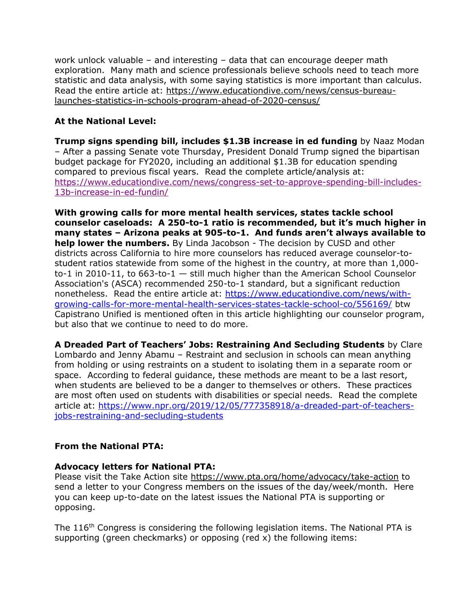work unlock valuable – and interesting – data that can encourage deeper math exploration. Many math and science professionals believe schools need to teach more statistic and data analysis, with some saying statistics is more important than calculus. Read the entire article at: [https://www.educationdive.com/news/census-bureau](https://www.educationdive.com/news/census-bureau-launches-statistics-in-schools-program-ahead-of-2020-census/)[launches-statistics-in-schools-program-ahead-of-2020-census/](https://www.educationdive.com/news/census-bureau-launches-statistics-in-schools-program-ahead-of-2020-census/)

### **At the National Level:**

**Trump signs spending bill, includes \$1.3B increase in ed funding** by Naaz Modan – After a passing Senate vote Thursday, President Donald Trump signed the bipartisan budget package for FY2020, including an additional \$1.3B for education spending compared to previous fiscal years. Read the complete article/analysis at: [https://www.educationdive.com/news/congress-set-to-approve-spending-bill-includes-](https://www.educationdive.com/news/congress-set-to-approve-spending-bill-includes-13b-increase-in-ed-fundin/)[13b-increase-in-ed-fundin/](https://www.educationdive.com/news/congress-set-to-approve-spending-bill-includes-13b-increase-in-ed-fundin/)

**With growing calls for more mental health services, states tackle school counselor caseloads: A 250-to-1 ratio is recommended, but it's much higher in many states – Arizona peaks at 905-to-1. And funds aren't always available to help lower the numbers.** By Linda Jacobson - The decision by CUSD and other districts across California to hire more counselors has reduced average counselor-tostudent ratios statewide from some of the highest in the country, at more than 1,000 to-1 in 2010-11, to 663-to-1 — still much higher than the American School Counselor Association's (ASCA) recommended 250-to-1 standard, but a significant reduction nonetheless. Read the entire article at: [https://www.educationdive.com/news/with](https://www.educationdive.com/news/with-growing-calls-for-more-mental-health-services-states-tackle-school-co/556169/)[growing-calls-for-more-mental-health-services-states-tackle-school-co/556169/](https://www.educationdive.com/news/with-growing-calls-for-more-mental-health-services-states-tackle-school-co/556169/) btw Capistrano Unified is mentioned often in this article highlighting our counselor program, but also that we continue to need to do more.

**A Dreaded Part of Teachers' Jobs: Restraining And Secluding Students** by Clare Lombardo and Jenny Abamu – Restraint and seclusion in schools can mean anything from holding or using restraints on a student to isolating them in a separate room or space. According to federal guidance, these methods are meant to be a last resort, when students are believed to be a danger to themselves or others. These practices are most often used on students with disabilities or special needs. Read the complete article at: [https://www.npr.org/2019/12/05/777358918/a-dreaded-part-of-teachers](https://www.npr.org/2019/12/05/777358918/a-dreaded-part-of-teachers-jobs-restraining-and-secluding-students)[jobs-restraining-and-secluding-students](https://www.npr.org/2019/12/05/777358918/a-dreaded-part-of-teachers-jobs-restraining-and-secluding-students)

### **From the National PTA:**

### **Advocacy letters for National PTA:**

Please visit the Take Action site<https://www.pta.org/home/advocacy/take-action> to send a letter to your Congress members on the issues of the day/week/month. Here you can keep up-to-date on the latest issues the National PTA is supporting or opposing.

The 116<sup>th</sup> Congress is considering the following legislation items. The National PTA is supporting (green checkmarks) or opposing (red x) the following items: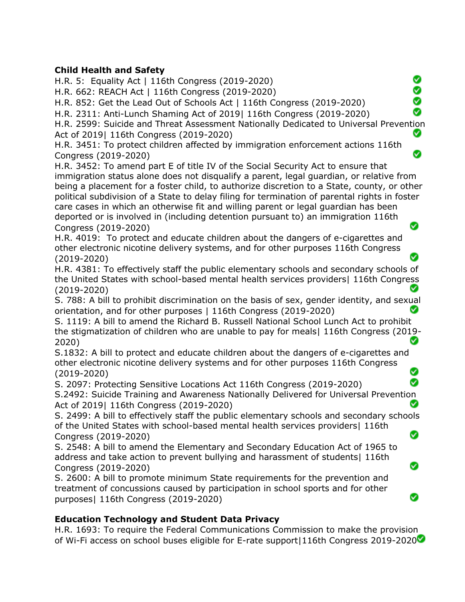### **Child Health and Safety**

H.R. 5: Equality Act | 116th Congress (2019-2020)

H.R. 662: REACH Act | 116th Congress (2019-2020)

H.R. 852: Get the Lead Out of Schools Act | 116th Congress (2019-2020)

H.R. 2311: Anti-Lunch Shaming Act of 2019| 116th Congress (2019-2020)

H.R. 2599: Suicide and Threat Assessment Nationally Dedicated to Universal Prevention Act of 2019| 116th Congress (2019-2020) Ø

⊗ Ō ◙ Ø

Ø

Ø

Ø

H.R. 3451: To protect children affected by immigration enforcement actions 116th Congress (2019-2020)

H.R. 3452: To amend part E of title IV of the Social Security Act to ensure that immigration status alone does not disqualify a parent, legal guardian, or relative from being a placement for a foster child, to authorize discretion to a State, county, or other political subdivision of a State to delay filing for termination of parental rights in foster care cases in which an otherwise fit and willing parent or legal guardian has been deported or is involved in (including detention pursuant to) an immigration 116th Ø Congress (2019-2020)

H.R. 4019: To protect and educate children about the dangers of e-cigarettes and other electronic nicotine delivery systems, and for other purposes 116th Congress (2019-2020)

H.R. 4381: To effectively staff the public elementary schools and secondary schools of the United States with school-based mental health services providers| 116th Congress (2019-2020) Ø

S. 788: A bill to prohibit discrimination on the basis of sex, gender identity, and sexual orientation, and for other purposes | 116th Congress (2019-2020)

S. 1119: A bill to amend the Richard B. Russell National School Lunch Act to prohibit the stigmatization of children who are unable to pay for meals| 116th Congress (2019- 2020)

S.1832: A bill to protect and educate children about the dangers of e-cigarettes and other electronic nicotine delivery systems and for other purposes 116th Congress Ø (2019-2020)

Ø S. 2097: Protecting Sensitive Locations Act 116th Congress (2019-2020) S.2492: Suicide Training and Awareness Nationally Delivered for Universal Prevention Act of 2019| 116th Congress (2019-2020)

S. 2499: A bill to effectively staff the public elementary schools and secondary schools of the United States with school-based mental health services providers| 116th Ø Congress (2019-2020)

S. 2548: A bill to amend the Elementary and Secondary Education Act of 1965 to address and take action to prevent bullying and harassment of students| 116th Congress (2019-2020)

S. 2600: A bill to promote minimum State requirements for the prevention and treatment of concussions caused by participation in school sports and for other purposes| 116th Congress (2019-2020)

### **Education Technology and Student Data Privacy**

H.R. 1693: To require the Federal Communications Commission to make the provision of Wi-Fi access on school buses eligible for E-rate support|116th Congress 2019-2020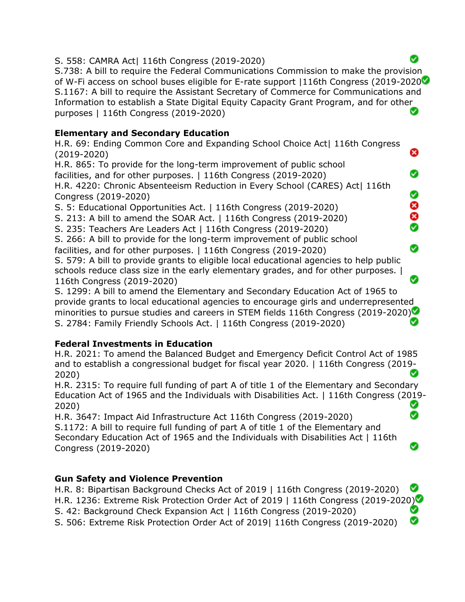S. 558: CAMRA Act| 116th Congress (2019-2020)

S.738: A bill to require the Federal Communications Commission to make the provision of W-Fi access on school buses eligible for E-rate support |116th Congress (2019-2020 S.1167: A bill to require the Assistant Secretary of Commerce for Communications and Information to establish a State Digital Equity Capacity Grant Program, and for other Ø purposes | 116th Congress (2019-2020)

Ø

ೞ

◙

⊗ 8<br>8

Ø

Ø

Ø

Ø

## **Elementary and Secondary Education**

H.R. 69: Ending Common Core and Expanding School Choice Act| 116th Congress (2019-2020)

H.R. 865: To provide for the long-term improvement of public school facilities, and for other purposes. | 116th Congress (2019-2020) H.R. 4220: Chronic Absenteeism Reduction in Every School (CARES) Act| 116th Congress (2019-2020)

S. 5: Educational Opportunities Act. | 116th Congress (2019-2020)

S. 213: A bill to amend the SOAR Act. | 116th Congress (2019-2020)

S. 235: Teachers Are Leaders Act | 116th Congress (2019-2020)

S. 266: A bill to provide for the long-term improvement of public school

facilities, and for other purposes. | 116th Congress (2019-2020) S. 579: A bill to provide grants to eligible local educational agencies to help public schools reduce class size in the early elementary grades, and for other purposes. | 116th Congress (2019-2020)

S. 1299: A bill to amend the Elementary and Secondary Education Act of 1965 to provide grants to local educational agencies to encourage girls and underrepresented minorities to pursue studies and careers in STEM fields 116th Congress (2019-2020) S. 2784: Family Friendly Schools Act. | 116th Congress (2019-2020)

## **Federal Investments in Education**

H.R. 2021: To amend the Balanced Budget and Emergency Deficit Control Act of 1985 and to establish a congressional budget for fiscal year 2020. | 116th Congress (2019- 2020)

H.R. 2315: To require full funding of part A of title 1 of the Elementary and Secondary Education Act of 1965 and the Individuals with Disabilities Act. | 116th Congress (2019- 2020) Ø

H.R. 3647: Impact Aid Infrastructure Act 116th Congress (2019-2020) S.1172: A bill to require full funding of part A of title 1 of the Elementary and Secondary Education Act of 1965 and the Individuals with Disabilities Act | 116th Congress (2019-2020)

# **Gun Safety and Violence Prevention**

Ø H.R. 8: Bipartisan Background Checks Act of 2019 | 116th Congress (2019-2020) H.R. 1236: Extreme Risk Protection Order Act of 2019 | 116th Congress (2019-2020) S. 42: Background Check Expansion Act | 116th Congress (2019-2020) Ø S. 506: Extreme Risk Protection Order Act of 2019| 116th Congress (2019-2020)